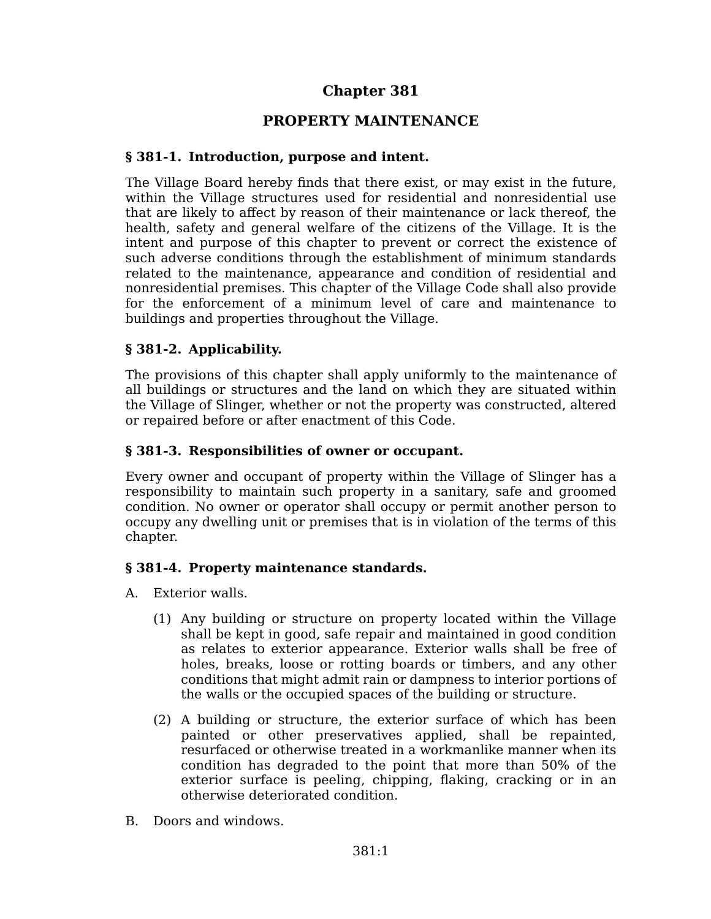# **Chapter 381**

## **PROPERTY MAINTENANCE**

#### **§ 381-1. Introduction, purpose and intent.**

The Village Board hereby finds that there exist, or may exist in the future, within the Village structures used for residential and nonresidential use that are likely to affect by reason of their maintenance or lack thereof, the health, safety and general welfare of the citizens of the Village. It is the intent and purpose of this chapter to prevent or correct the existence of such adverse conditions through the establishment of minimum standards related to the maintenance, appearance and condition of residential and nonresidential premises. This chapter of the Village Code shall also provide for the enforcement of a minimum level of care and maintenance to buildings and properties throughout the Village.

### **§ 381-2. Applicability.**

The provisions of this chapter shall apply uniformly to the maintenance of all buildings or structures and the land on which they are situated within the Village of Slinger, whether or not the property was constructed, altered or repaired before or after enactment of this Code.

### **§ 381-3. Responsibilities of owner or occupant.**

Every owner and occupant of property within the Village of Slinger has a responsibility to maintain such property in a sanitary, safe and groomed condition. No owner or operator shall occupy or permit another person to occupy any dwelling unit or premises that is in violation of the terms of this chapter.

### **§ 381-4. Property maintenance standards.**

- A. Exterior walls.
	- (1) Any building or structure on property located within the Village shall be kept in good, safe repair and maintained in good condition as relates to exterior appearance. Exterior walls shall be free of holes, breaks, loose or rotting boards or timbers, and any other conditions that might admit rain or dampness to interior portions of the walls or the occupied spaces of the building or structure.
	- (2) A building or structure, the exterior surface of which has been painted or other preservatives applied, shall be repainted, resurfaced or otherwise treated in a workmanlike manner when its condition has degraded to the point that more than 50% of the exterior surface is peeling, chipping, flaking, cracking or in an otherwise deteriorated condition.
- B. Doors and windows.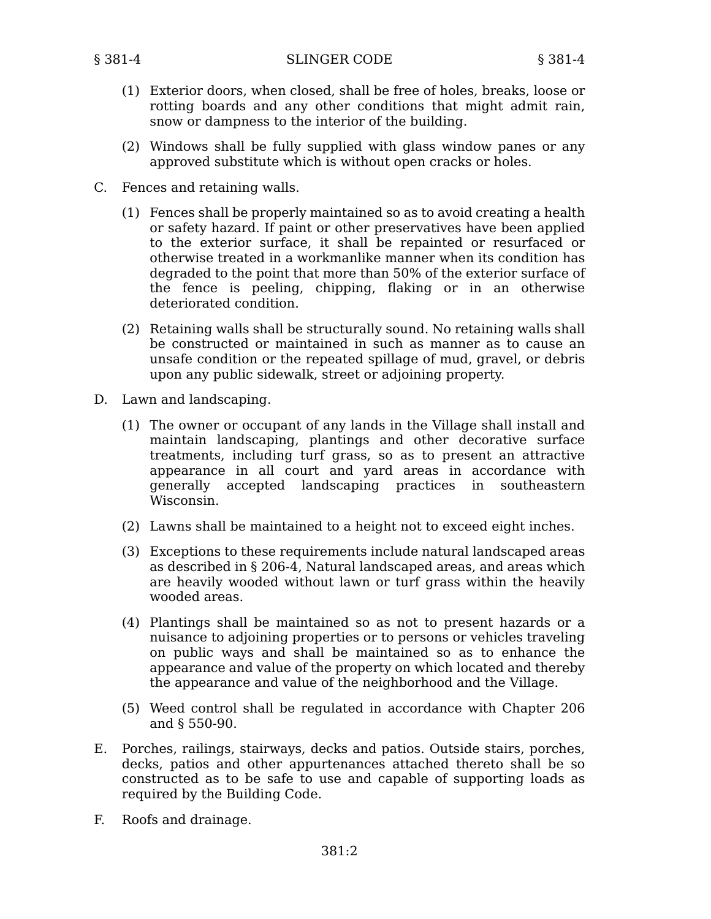- (1) Exterior doors, when closed, shall be free of holes, breaks, loose or rotting boards and any other conditions that might admit rain, snow or dampness to the interior of the building.
- (2) Windows shall be fully supplied with glass window panes or any approved substitute which is without open cracks or holes.
- C. Fences and retaining walls.
	- (1) Fences shall be properly maintained so as to avoid creating a health or safety hazard. If paint or other preservatives have been applied to the exterior surface, it shall be repainted or resurfaced or otherwise treated in a workmanlike manner when its condition has degraded to the point that more than 50% of the exterior surface of the fence is peeling, chipping, flaking or in an otherwise deteriorated condition.
	- (2) Retaining walls shall be structurally sound. No retaining walls shall be constructed or maintained in such as manner as to cause an unsafe condition or the repeated spillage of mud, gravel, or debris upon any public sidewalk, street or adjoining property.
- D. Lawn and landscaping.
	- (1) The owner or occupant of any lands in the Village shall install and maintain landscaping, plantings and other decorative surface treatments, including turf grass, so as to present an attractive appearance in all court and yard areas in accordance with generally accepted landscaping practices in southeastern Wisconsin.
	- (2) Lawns shall be maintained to a height not to exceed eight inches.
	- (3) Exceptions to these requirements include natural landscaped areas as described in § 206-4, Natural landscaped areas, and areas which are heavily wooded without lawn or turf grass within the heavily wooded areas.
	- (4) Plantings shall be maintained so as not to present hazards or a nuisance to adjoining properties or to persons or vehicles traveling on public ways and shall be maintained so as to enhance the appearance and value of the property on which located and thereby the appearance and value of the neighborhood and the Village.
	- (5) Weed control shall be regulated in accordance with Chapter 206 and § 550-90.
- E. Porches, railings, stairways, decks and patios. Outside stairs, porches, decks, patios and other appurtenances attached thereto shall be so constructed as to be safe to use and capable of supporting loads as required by the Building Code.
- F. Roofs and drainage.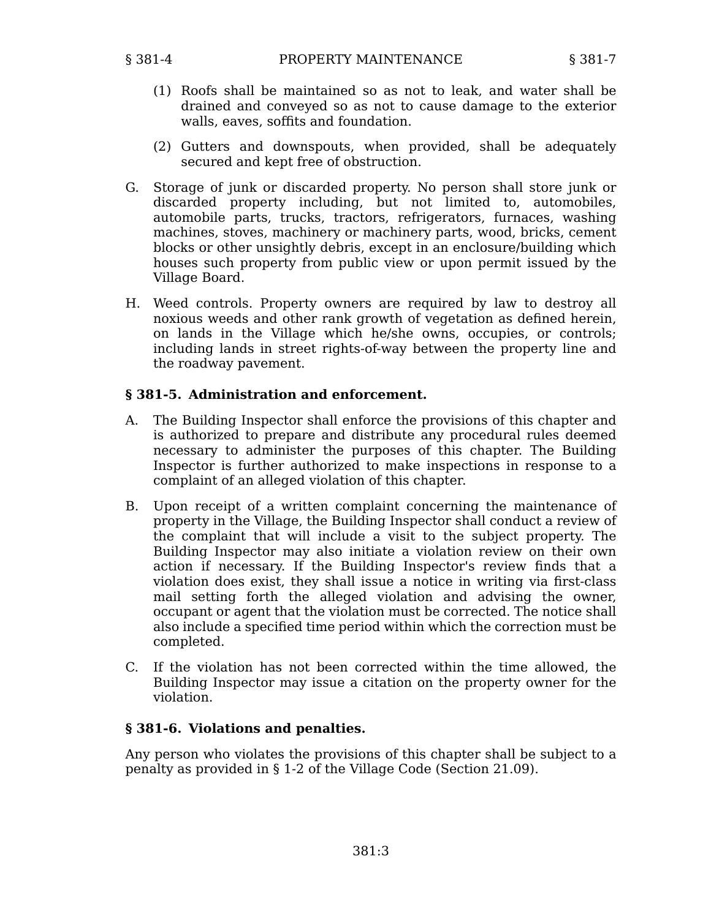- (1) Roofs shall be maintained so as not to leak, and water shall be drained and conveyed so as not to cause damage to the exterior walls, eaves, soffits and foundation.
- (2) Gutters and downspouts, when provided, shall be adequately secured and kept free of obstruction.
- G. Storage of junk or discarded property. No person shall store junk or discarded property including, but not limited to, automobiles, automobile parts, trucks, tractors, refrigerators, furnaces, washing machines, stoves, machinery or machinery parts, wood, bricks, cement blocks or other unsightly debris, except in an enclosure/building which houses such property from public view or upon permit issued by the Village Board.
- H. Weed controls. Property owners are required by law to destroy all noxious weeds and other rank growth of vegetation as defined herein, on lands in the Village which he/she owns, occupies, or controls; including lands in street rights-of-way between the property line and the roadway pavement.

#### **§ 381-5. Administration and enforcement.**

- A. The Building Inspector shall enforce the provisions of this chapter and is authorized to prepare and distribute any procedural rules deemed necessary to administer the purposes of this chapter. The Building Inspector is further authorized to make inspections in response to a complaint of an alleged violation of this chapter.
- B. Upon receipt of a written complaint concerning the maintenance of property in the Village, the Building Inspector shall conduct a review of the complaint that will include a visit to the subject property. The Building Inspector may also initiate a violation review on their own action if necessary. If the Building Inspector's review finds that a violation does exist, they shall issue a notice in writing via first-class mail setting forth the alleged violation and advising the owner, occupant or agent that the violation must be corrected. The notice shall also include a specified time period within which the correction must be completed.
- C. If the violation has not been corrected within the time allowed, the Building Inspector may issue a citation on the property owner for the violation.

### **§ 381-6. Violations and penalties.**

Any person who violates the provisions of this chapter shall be subject to a penalty as provided in § 1-2 of the Village Code (Section 21.09).